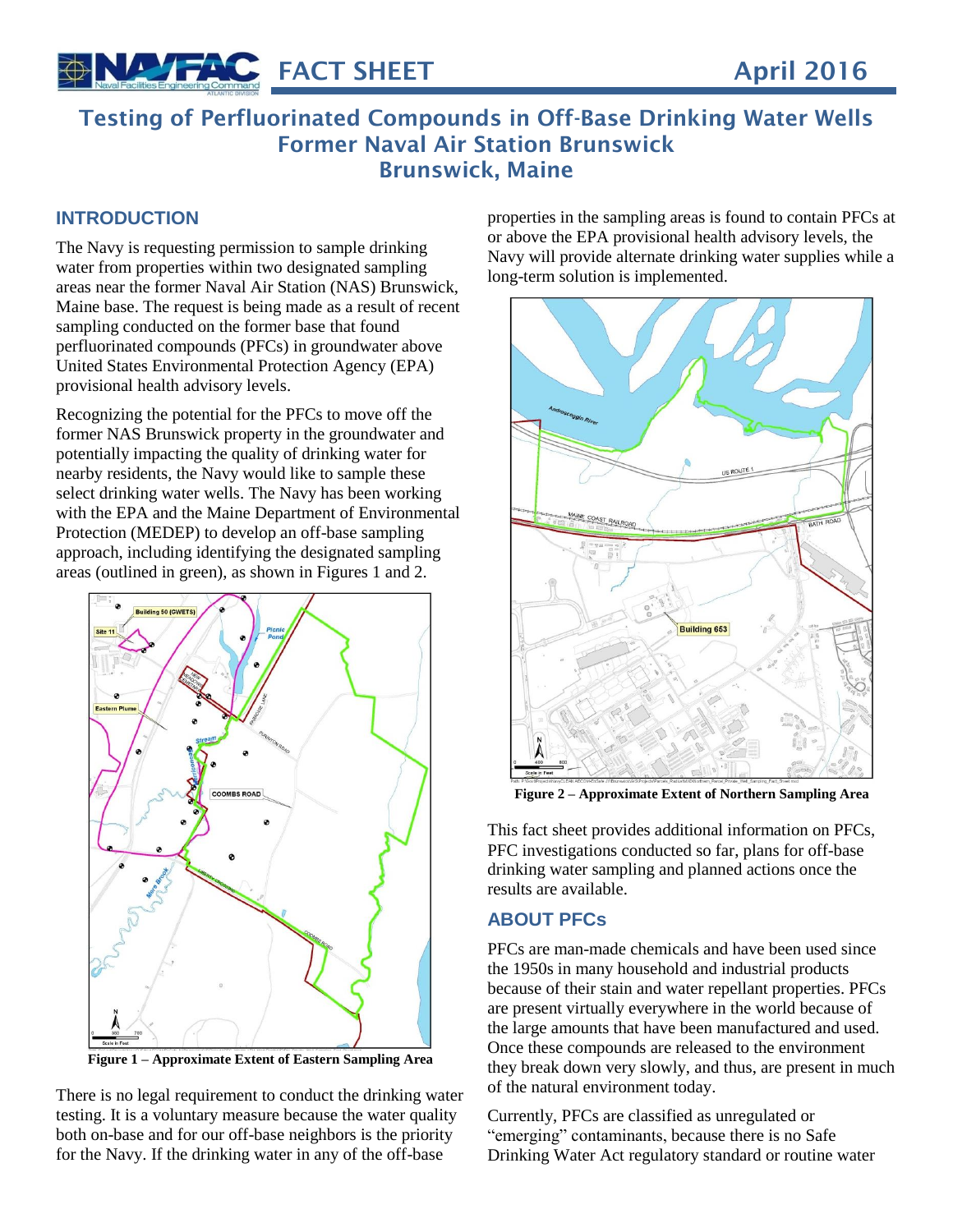

# **Testing of Perfluorinated Compounds in Off-Base Drinking Water Wells Former Naval Air Station Brunswick Brunswick, Maine**

# **INTRODUCTION**

The Navy is requesting permission to sample drinking water from properties within two designated sampling areas near the former Naval Air Station (NAS) Brunswick, Maine base. The request is being made as a result of recent sampling conducted on the former base that found perfluorinated compounds (PFCs) in groundwater above United States Environmental Protection Agency (EPA) provisional health advisory levels.

Recognizing the potential for the PFCs to move off the former NAS Brunswick property in the groundwater and potentially impacting the quality of drinking water for nearby residents, the Navy would like to sample these select drinking water wells. The Navy has been working with the EPA and the Maine Department of Environmental Protection (MEDEP) to develop an off-base sampling approach, including identifying the designated sampling areas (outlined in green), as shown in Figures 1 and 2.



**Figure 1 – Approximate Extent of Eastern Sampling Area**

There is no legal requirement to conduct the drinking water testing. It is a voluntary measure because the water quality both on-base and for our off-base neighbors is the priority for the Navy. If the drinking water in any of the off-base

properties in the sampling areas is found to contain PFCs at or above the EPA provisional health advisory levels, the Navy will provide alternate drinking water supplies while a long-term solution is implemented.



**Figure 2 – Approximate Extent of Northern Sampling Area**

This fact sheet provides additional information on PFCs, PFC investigations conducted so far, plans for off-base drinking water sampling and planned actions once the results are available.

### **ABOUT PFCs**

PFCs are man-made chemicals and have been used since the 1950s in many household and industrial products because of their stain and water repellant properties. PFCs are present virtually everywhere in the world because of the large amounts that have been manufactured and used. Once these compounds are released to the environment they break down very slowly, and thus, are present in much of the natural environment today.

Currently, PFCs are classified as unregulated or "emerging" contaminants, because there is no Safe Drinking Water Act regulatory standard or routine water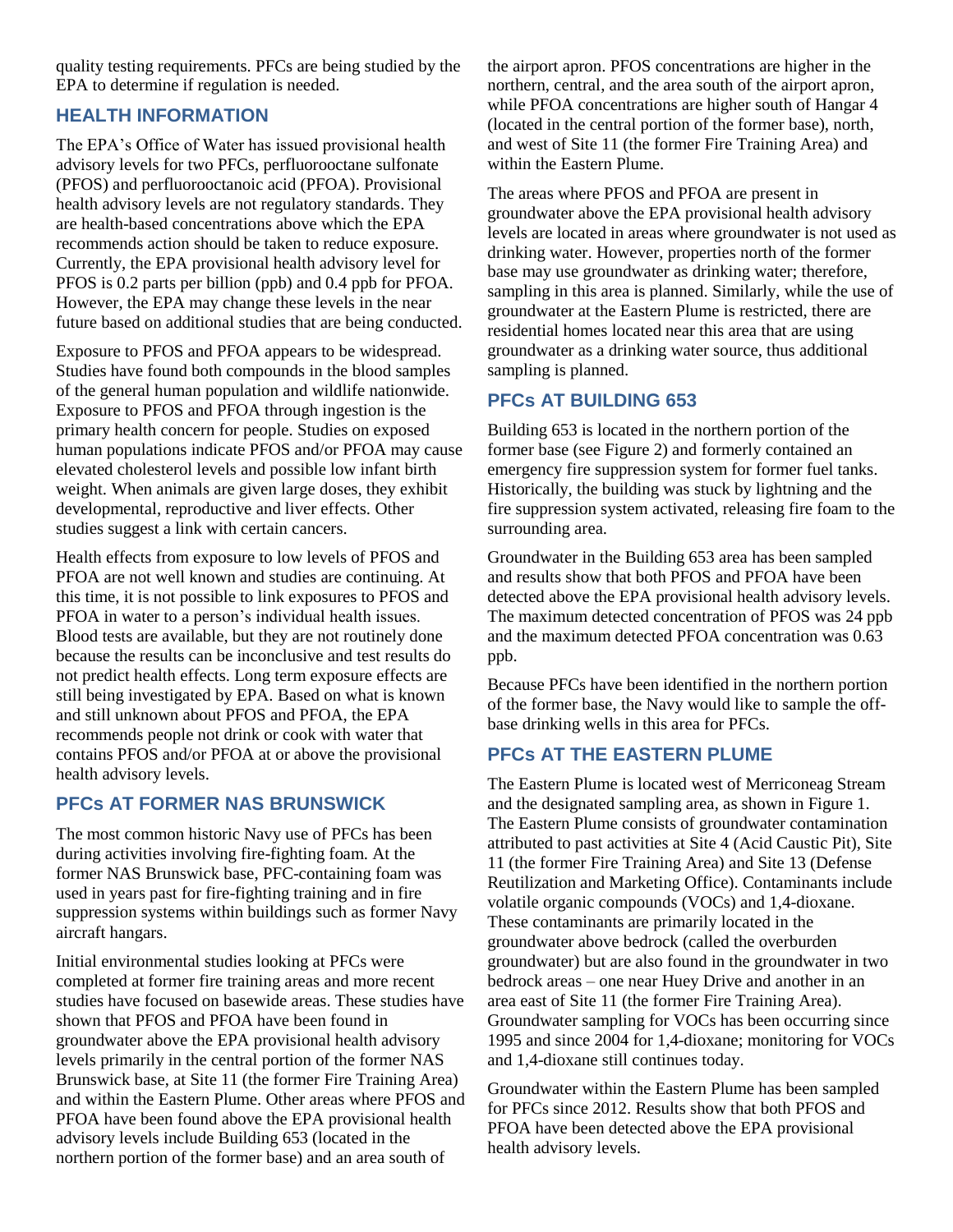quality testing requirements. PFCs are being studied by the EPA to determine if regulation is needed.

### **HEALTH INFORMATION**

The EPA's Office of Water has issued provisional health advisory levels for two PFCs, perfluorooctane sulfonate (PFOS) and perfluorooctanoic acid (PFOA). Provisional health advisory levels are not regulatory standards. They are health-based concentrations above which the EPA recommends action should be taken to reduce exposure. Currently, the EPA provisional health advisory level for PFOS is 0.2 parts per billion (ppb) and 0.4 ppb for PFOA. However, the EPA may change these levels in the near future based on additional studies that are being conducted.

Exposure to PFOS and PFOA appears to be widespread. Studies have found both compounds in the blood samples of the general human population and wildlife nationwide. Exposure to PFOS and PFOA through ingestion is the primary health concern for people. Studies on exposed human populations indicate PFOS and/or PFOA may cause elevated cholesterol levels and possible low infant birth weight. When animals are given large doses, they exhibit developmental, reproductive and liver effects. Other studies suggest a link with certain cancers.

Health effects from exposure to low levels of PFOS and PFOA are not well known and studies are continuing. At this time, it is not possible to link exposures to PFOS and PFOA in water to a person's individual health issues. Blood tests are available, but they are not routinely done because the results can be inconclusive and test results do not predict health effects. Long term exposure effects are still being investigated by EPA. Based on what is known and still unknown about PFOS and PFOA, the EPA recommends people not drink or cook with water that contains PFOS and/or PFOA at or above the provisional health advisory levels.

# **PFCs AT FORMER NAS BRUNSWICK**

The most common historic Navy use of PFCs has been during activities involving fire-fighting foam. At the former NAS Brunswick base, PFC-containing foam was used in years past for fire-fighting training and in fire suppression systems within buildings such as former Navy aircraft hangars.

Initial environmental studies looking at PFCs were completed at former fire training areas and more recent studies have focused on basewide areas. These studies have shown that PFOS and PFOA have been found in groundwater above the EPA provisional health advisory levels primarily in the central portion of the former NAS Brunswick base, at Site 11 (the former Fire Training Area) and within the Eastern Plume. Other areas where PFOS and PFOA have been found above the EPA provisional health advisory levels include Building 653 (located in the northern portion of the former base) and an area south of

the airport apron. PFOS concentrations are higher in the northern, central, and the area south of the airport apron, while PFOA concentrations are higher south of Hangar 4 (located in the central portion of the former base), north, and west of Site 11 (the former Fire Training Area) and within the Eastern Plume.

The areas where PFOS and PFOA are present in groundwater above the EPA provisional health advisory levels are located in areas where groundwater is not used as drinking water. However, properties north of the former base may use groundwater as drinking water; therefore, sampling in this area is planned. Similarly, while the use of groundwater at the Eastern Plume is restricted, there are residential homes located near this area that are using groundwater as a drinking water source, thus additional sampling is planned.

# **PFCs AT BUILDING 653**

Building 653 is located in the northern portion of the former base (see Figure 2) and formerly contained an emergency fire suppression system for former fuel tanks. Historically, the building was stuck by lightning and the fire suppression system activated, releasing fire foam to the surrounding area.

Groundwater in the Building 653 area has been sampled and results show that both PFOS and PFOA have been detected above the EPA provisional health advisory levels. The maximum detected concentration of PFOS was 24 ppb and the maximum detected PFOA concentration was 0.63 ppb.

Because PFCs have been identified in the northern portion of the former base, the Navy would like to sample the offbase drinking wells in this area for PFCs.

# **PFCs AT THE EASTERN PLUME**

The Eastern Plume is located west of Merriconeag Stream and the designated sampling area, as shown in Figure 1. The Eastern Plume consists of groundwater contamination attributed to past activities at Site 4 (Acid Caustic Pit), Site 11 (the former Fire Training Area) and Site 13 (Defense Reutilization and Marketing Office). Contaminants include volatile organic compounds (VOCs) and 1,4-dioxane. These contaminants are primarily located in the groundwater above bedrock (called the overburden groundwater) but are also found in the groundwater in two bedrock areas – one near Huey Drive and another in an area east of Site 11 (the former Fire Training Area). Groundwater sampling for VOCs has been occurring since 1995 and since 2004 for 1,4-dioxane; monitoring for VOCs and 1,4-dioxane still continues today.

Groundwater within the Eastern Plume has been sampled for PFCs since 2012. Results show that both PFOS and PFOA have been detected above the EPA provisional health advisory levels.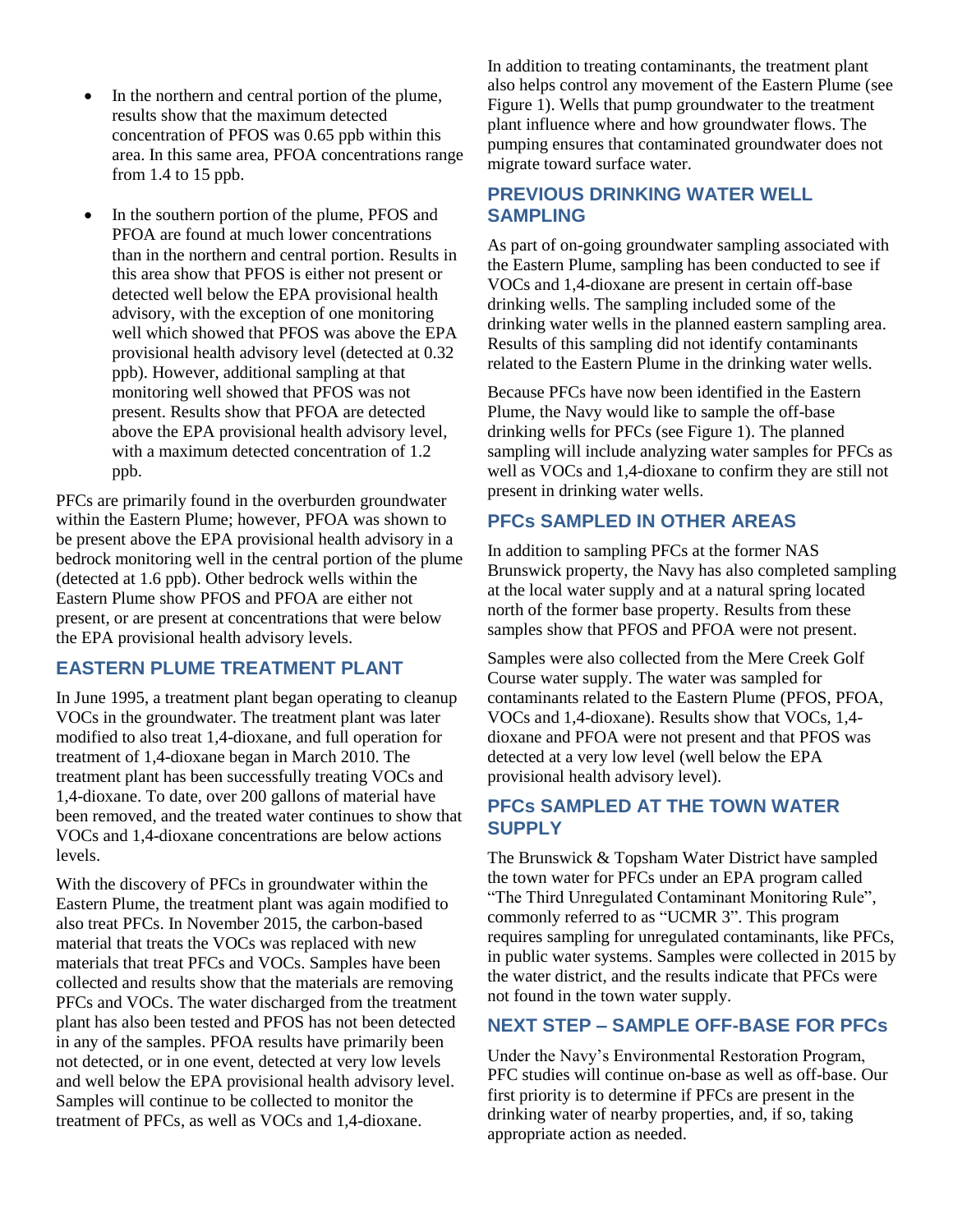- In the northern and central portion of the plume, results show that the maximum detected concentration of PFOS was 0.65 ppb within this area. In this same area, PFOA concentrations range from 1.4 to 15 ppb.
- In the southern portion of the plume, PFOS and PFOA are found at much lower concentrations than in the northern and central portion. Results in this area show that PFOS is either not present or detected well below the EPA provisional health advisory, with the exception of one monitoring well which showed that PFOS was above the EPA provisional health advisory level (detected at 0.32 ppb). However, additional sampling at that monitoring well showed that PFOS was not present. Results show that PFOA are detected above the EPA provisional health advisory level, with a maximum detected concentration of 1.2 ppb.

PFCs are primarily found in the overburden groundwater within the Eastern Plume; however, PFOA was shown to be present above the EPA provisional health advisory in a bedrock monitoring well in the central portion of the plume (detected at 1.6 ppb). Other bedrock wells within the Eastern Plume show PFOS and PFOA are either not present, or are present at concentrations that were below the EPA provisional health advisory levels.

### **EASTERN PLUME TREATMENT PLANT**

In June 1995, a treatment plant began operating to cleanup VOCs in the groundwater. The treatment plant was later modified to also treat 1,4-dioxane, and full operation for treatment of 1,4-dioxane began in March 2010. The treatment plant has been successfully treating VOCs and 1,4-dioxane. To date, over 200 gallons of material have been removed, and the treated water continues to show that VOCs and 1,4-dioxane concentrations are below actions levels.

With the discovery of PFCs in groundwater within the Eastern Plume, the treatment plant was again modified to also treat PFCs. In November 2015, the carbon-based material that treats the VOCs was replaced with new materials that treat PFCs and VOCs. Samples have been collected and results show that the materials are removing PFCs and VOCs. The water discharged from the treatment plant has also been tested and PFOS has not been detected in any of the samples. PFOA results have primarily been not detected, or in one event, detected at very low levels and well below the EPA provisional health advisory level. Samples will continue to be collected to monitor the treatment of PFCs, as well as VOCs and 1,4-dioxane.

In addition to treating contaminants, the treatment plant also helps control any movement of the Eastern Plume (see Figure 1). Wells that pump groundwater to the treatment plant influence where and how groundwater flows. The pumping ensures that contaminated groundwater does not migrate toward surface water.

#### **PREVIOUS DRINKING WATER WELL SAMPLING**

As part of on-going groundwater sampling associated with the Eastern Plume, sampling has been conducted to see if VOCs and 1,4-dioxane are present in certain off-base drinking wells. The sampling included some of the drinking water wells in the planned eastern sampling area. Results of this sampling did not identify contaminants related to the Eastern Plume in the drinking water wells.

Because PFCs have now been identified in the Eastern Plume, the Navy would like to sample the off-base drinking wells for PFCs (see Figure 1). The planned sampling will include analyzing water samples for PFCs as well as VOCs and 1,4-dioxane to confirm they are still not present in drinking water wells.

#### **PFCs SAMPLED IN OTHER AREAS**

In addition to sampling PFCs at the former NAS Brunswick property, the Navy has also completed sampling at the local water supply and at a natural spring located north of the former base property. Results from these samples show that PFOS and PFOA were not present.

Samples were also collected from the Mere Creek Golf Course water supply. The water was sampled for contaminants related to the Eastern Plume (PFOS, PFOA, VOCs and 1,4-dioxane). Results show that VOCs, 1,4 dioxane and PFOA were not present and that PFOS was detected at a very low level (well below the EPA provisional health advisory level).

# **PFCs SAMPLED AT THE TOWN WATER SUPPLY**

The Brunswick & Topsham Water District have sampled the town water for PFCs under an EPA program called "The Third Unregulated Contaminant Monitoring Rule", commonly referred to as "UCMR 3". This program requires sampling for unregulated contaminants, like PFCs, in public water systems. Samples were collected in 2015 by the water district, and the results indicate that PFCs were not found in the town water supply.

### **NEXT STEP – SAMPLE OFF-BASE FOR PFCs**

Under the Navy's Environmental Restoration Program, PFC studies will continue on-base as well as off-base. Our first priority is to determine if PFCs are present in the drinking water of nearby properties, and, if so, taking appropriate action as needed.